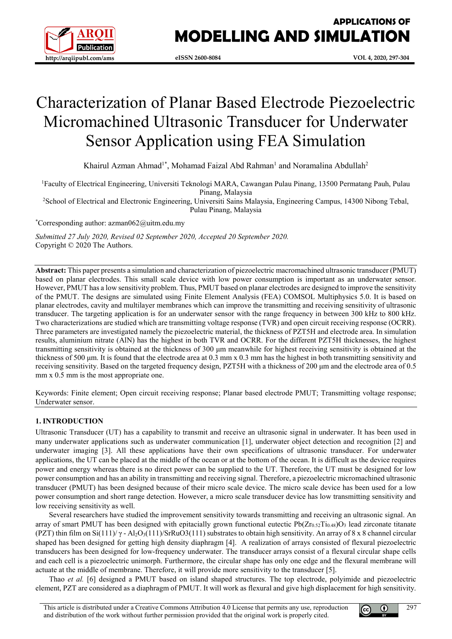

# **APPLICATIONS OF MODELLING AND SIMULATION**

# Characterization of Planar Based Electrode Piezoelectric Micromachined Ultrasonic Transducer for Underwater Sensor Application using FEA Simulation

Khairul Azman Ahmad<sup>1\*</sup>, Mohamad Faizal Abd Rahman<sup>1</sup> and Noramalina Abdullah<sup>2</sup>

<sup>1</sup>Faculty of Electrical Engineering, Universiti Teknologi MARA, Cawangan Pulau Pinang, 13500 Permatang Pauh, Pulau Pinang, Malaysia

2 School of Electrical and Electronic Engineering, Universiti Sains Malaysia, Engineering Campus, 14300 Nibong Tebal, Pulau Pinang, Malaysia

\* Corresponding author: azman062@uitm.edu.my

*Submitted 27 July 2020, Revised 02 September 2020, Accepted 20 September 2020.* Copyright © 2020 The Authors.

**Abstract:** This paper presents a simulation and characterization of piezoelectric macromachined ultrasonic transducer (PMUT) based on planar electrodes. This small scale device with low power consumption is important as an underwater sensor. However, PMUT has a low sensitivity problem. Thus, PMUT based on planar electrodes are designed to improve the sensitivity of the PMUT. The designs are simulated using Finite Element Analysis (FEA) COMSOL Multiphysics 5.0. It is based on planar electrodes, cavity and multilayer membranes which can improve the transmitting and receiving sensitivity of ultrasonic transducer. The targeting application is for an underwater sensor with the range frequency in between 300 kHz to 800 kHz. Two characterizations are studied which are transmitting voltage response (TVR) and open circuit receiving response (OCRR). Three parameters are investigated namely the piezoelectric material, the thickness of PZT5H and electrode area. In simulation results, aluminium nitrate (AlN) has the highest in both TVR and OCRR. For the different PZT5H thicknesses, the highest transmitting sensitivity is obtained at the thickness of 300 μm meanwhile for highest receiving sensitivity is obtained at the thickness of 500 μm. It is found that the electrode area at 0.3 mm x 0.3 mm has the highest in both transmitting sensitivity and receiving sensitivity. Based on the targeted frequency design, PZT5H with a thickness of 200 μm and the electrode area of 0.5 mm x  $0.5$  mm is the most appropriate one.

Keywords: Finite element; Open circuit receiving response; Planar based electrode PMUT; Transmitting voltage response; Underwater sensor.

# **1. INTRODUCTION**

Ultrasonic Transducer (UT) has a capability to transmit and receive an ultrasonic signal in underwater. It has been used in many underwater applications such as underwater communication [1], underwater object detection and recognition [2] and underwater imaging [3]. All these applications have their own specifications of ultrasonic transducer. For underwater applications, the UT can be placed at the middle of the ocean or at the bottom of the ocean. It is difficult as the device requires power and energy whereas there is no direct power can be supplied to the UT. Therefore, the UT must be designed for low power consumption and has an ability in transmitting and receiving signal. Therefore, a piezoelectric micromachined ultrasonic transducer (PMUT) has been designed because of their micro scale device. The micro scale device has been used for a low power consumption and short range detection. However, a micro scale transducer device has low transmitting sensitivity and low receiving sensitivity as well.

Several researchers have studied the improvement sensitivity towards transmitting and receiving an ultrasonic signal. An array of smart PMUT has been designed with epitacially grown functional eutectic  $Pb(Zr_{0.52}Ti_{0.48})O_3$  lead zirconate titanate (PZT) thin film on Si(111)/ $\gamma$  - Al<sub>2</sub>O<sub>3</sub>(111)/SrRuO3(111) substrates to obtain high sensitivity. An array of 8 x 8 channel circular shaped has been designed for getting high density diaphragm [4]. A realization of arrays consisted of flexural piezoelectric transducers has been designed for low-frequency underwater. The transducer arrays consist of a flexural circular shape cells and each cell is a piezoelectric unimorph. Furthermore, the circular shape has only one edge and the flexural membrane will actuate at the middle of membrane. Therefore, it will provide more sensitivity to the transducer [5].

Thao *et al.* [6] designed a PMUT based on island shaped structures. The top electrode, polyimide and piezoelectric element, PZT are considered as a diaphragm of PMUT. It will work as flexural and give high displacement for high sensitivity.



લ્લિ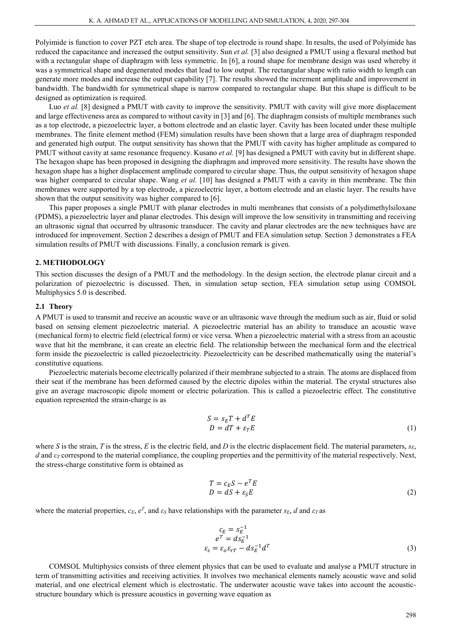Polyimide is function to cover PZT etch area. The shape of top electrode is round shape. In results, the used of Polyimide has reduced the capacitance and increased the output sensitivity. Sun *et al.* [3] also designed a PMUT using a flexural method but with a rectangular shape of diaphragm with less symmetric. In [6], a round shape for membrane design was used whereby it was a symmetrical shape and degenerated modes that lead to low output. The rectangular shape with ratio width to length can generate more modes and increase the output capability [7]. The results showed the increment amplitude and improvement in bandwidth. The bandwidth for symmetrical shape is narrow compared to rectangular shape. But this shape is difficult to be designed as optimization is required.

Luo *et al.* [8] designed a PMUT with cavity to improve the sensitivity. PMUT with cavity will give more displacement and large effectiveness area as compared to without cavity in [3] and [6]. The diaphragm consists of multiple membranes such as a top electrode, a piezoelectric layer, a bottom electrode and an elastic layer. Cavity has been located under these multiple membranes. The finite element method (FEM) simulation results have been shown that a large area of diaphragm responded and generated high output. The output sensitivity has shown that the PMUT with cavity has higher amplitude as compared to PMUT without cavity at same resonance frequency. Kusano *et al.* [9] has designed a PMUT with cavity but in different shape. The hexagon shape has been proposed in designing the diaphragm and improved more sensitivity. The results have shown the hexagon shape has a higher displacement amplitude compared to circular shape. Thus, the output sensitivity of hexagon shape was higher compared to circular shape. Wang *et al.* [10] has designed a PMUT with a cavity in thin membrane. The thin membranes were supported by a top electrode, a piezoelectric layer, a bottom electrode and an elastic layer. The results have shown that the output sensitivity was higher compared to [6].

This paper proposes a single PMUT with planar electrodes in multi membranes that consists of a polydimethylsiloxane (PDMS), a piezoelectric layer and planar electrodes. This design will improve the low sensitivity in transmitting and receiving an ultrasonic signal that occurred by ultrasonic transducer. The cavity and planar electrodes are the new techniques have are introduced for improvement. Section 2 describes a design of PMUT and FEA simulation setup. Section 3 demonstrates a FEA simulation results of PMUT with discussions. Finally, a conclusion remark is given.

## **2. METHODOLOGY**

This section discusses the design of a PMUT and the methodology. In the design section, the electrode planar circuit and a polarization of piezoelectric is discussed. Then, in simulation setup section, FEA simulation setup using COMSOL Multiphysics 5.0 is described.

# **2.1 Theory**

A PMUT is used to transmit and receive an acoustic wave or an ultrasonic wave through the medium such as air, fluid or solid based on sensing element piezoelectric material. A piezoelectric material has an ability to transduce an acoustic wave (mechanical form) to electric field (electrical form) or vice versa. When a piezoelectric material with a stress from an acoustic wave that hit the membrane, it can create an electric field. The relationship between the mechanical form and the electrical form inside the piezoelectric is called piezoelectricity. Piezoelectricity can be described mathematically using the material's constitutive equations.

Piezoelectric materials become electrically polarized if their membrane subjected to a strain. The atoms are displaced from their seat if the membrane has been deformed caused by the electric dipoles within the material. The crystal structures also give an average macroscopic dipole moment or electric polarization. This is called a piezoelectric effect. The constitutive equation represented the strain-charge is as

$$
S = sET + dTE
$$
  
D = dT +  $\varepsilon_T E$  (1)

where *S* is the strain, *T* is the stress, *E* is the electric field, and *D* is the electric displacement field. The material parameters,  $s_E$ , *d* and *ε<sup>T</sup>* correspond to the material compliance, the coupling properties and the permittivity of the material respectively. Next, the stress-charge constitutive form is obtained as

$$
T = c_E S - e^T E
$$
  
\n
$$
D = dS + \varepsilon_S E
$$
 (2)

where the material properties,  $c_E$ ,  $e^T$ , and  $\varepsilon_S$  have relationships with the parameter  $s_E$ , *d* and  $\varepsilon_T$  as

$$
c_E = s_E^{-1}
$$
  
\n
$$
e^T = ds_E^{-1}
$$
  
\n
$$
\varepsilon_s = \varepsilon_o \varepsilon_{rT} - ds_E^{-1} d^T
$$
\n(3)

COMSOL Multiphysics consists of three element physics that can be used to evaluate and analyse a PMUT structure in term of transmitting activities and receiving activities. It involves two mechanical elements namely acoustic wave and solid material, and one electrical element which is electrostatic. The underwater acoustic wave takes into account the acousticstructure boundary which is pressure acoustics in governing wave equation as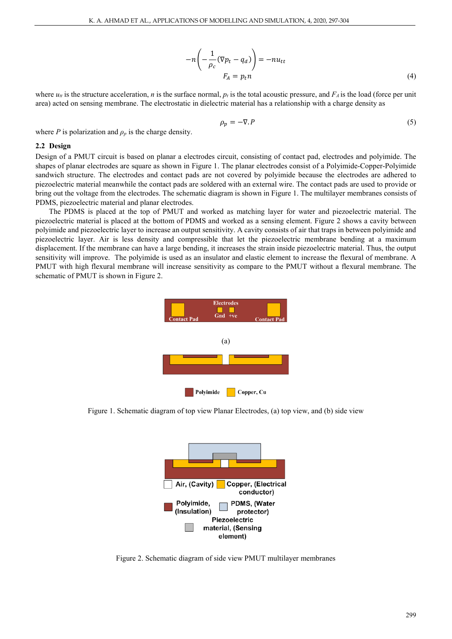$$
-n\left(-\frac{1}{\rho_c}(\nabla p_t - q_d)\right) = -nu_{tt}
$$
  

$$
F_A = p_t n
$$
 (4)

where  $u_t$  is the structure acceleration, *n* is the surface normal,  $p_t$  is the total acoustic pressure, and  $F_A$  is the load (force per unit area) acted on sensing membrane. The electrostatic in dielectric material has a relationship with a charge density as

$$
\rho_p = -\nabla P \tag{5}
$$

where *P* is polarization and  $\rho_p$  is the charge density.

#### **2.2 Design**

Design of a PMUT circuit is based on planar a electrodes circuit, consisting of contact pad, electrodes and polyimide. The shapes of planar electrodes are square as shown in Figure 1. The planar electrodes consist of a Polyimide-Copper-Polyimide sandwich structure. The electrodes and contact pads are not covered by polyimide because the electrodes are adhered to piezoelectric material meanwhile the contact pads are soldered with an external wire. The contact pads are used to provide or bring out the voltage from the electrodes. The schematic diagram is shown in Figure 1. The multilayer membranes consists of PDMS, piezoelectric material and planar electrodes.

The PDMS is placed at the top of PMUT and worked as matching layer for water and piezoelectric material. The piezoelectric material is placed at the bottom of PDMS and worked as a sensing element. Figure 2 shows a cavity between polyimide and piezoelectric layer to increase an output sensitivity. A cavity consists of air that traps in between polyimide and piezoelectric layer. Air is less density and compressible that let the piezoelectric membrane bending at a maximum displacement. If the membrane can have a large bending, it increases the strain inside piezoelectric material. Thus, the output sensitivity will improve. The polyimide is used as an insulator and elastic element to increase the flexural of membrane. A PMUT with high flexural membrane will increase sensitivity as compare to the PMUT without a flexural membrane. The schematic of PMUT is shown in Figure 2.



Figure 1. Schematic diagram of top view Planar Electrodes, (a) top view, and (b) side view



Figure 2. Schematic diagram of side view PMUT multilayer membranes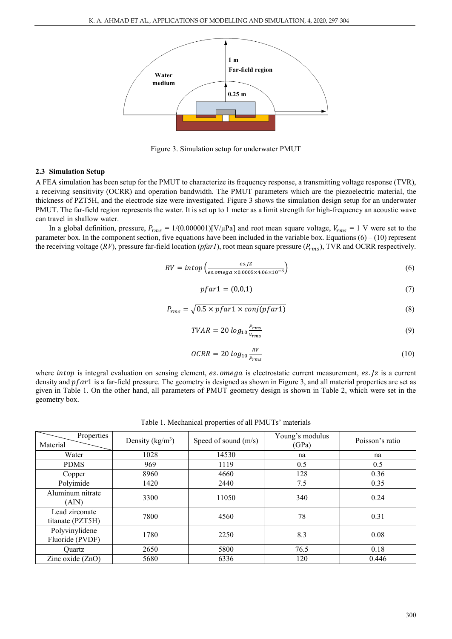

Figure 3. Simulation setup for underwater PMUT

# **2.3 Simulation Setup**

A FEA simulation has been setup for the PMUT to characterize its frequency response, a transmitting voltage response (TVR), a receiving sensitivity (OCRR) and operation bandwidth. The PMUT parameters which are the piezoelectric material, the thickness of PZT5H, and the electrode size were investigated. Figure 3 shows the simulation design setup for an underwater PMUT. The far-field region represents the water. It is set up to 1 meter as a limit strength for high-frequency an acoustic wave can travel in shallow water.

In a global definition, pressure,  $P_{rms} = 1/(0.000001)[V/\mu Pa]$  and root mean square voltage,  $V_{rms} = 1$  V were set to the parameter box. In the component section, five equations have been included in the variable box. Equations  $(6) - (10)$  represent the receiving voltage ( $RV$ ), pressure far-field location ( $pfarl$ ), root mean square pressure ( $P_{rms}$ ), TVR and OCRR respectively.

$$
RV = intop\left(\frac{es.JZ}{es.omega \times 0.0005 \times 4.06 \times 10^{-6}}\right)
$$
\n
$$
(6)
$$

$$
pfar1 = (0,0,1) \tag{7}
$$

$$
P_{rms} = \sqrt{0.5 \times p \cdot \text{far1} \times \text{conj}(\text{p} \cdot \text{far1})}
$$
\n(8)

$$
TVAR = 20 \log_{10} \frac{P_{rms}}{V_{rms}} \tag{9}
$$

$$
OCRR = 20 \log_{10} \frac{RV}{P_{rms}} \tag{10}
$$

where *intop* is integral evaluation on sensing element, es. omega is electrostatic current measurement, es. Jz is a current density and  $pfar1$  is a far-field pressure. The geometry is designed as shown in Figure 3, and all material properties are set as given in Table 1. On the other hand, all parameters of PMUT geometry design is shown in Table 2, which were set in the geometry box.

Table 1. Mechanical properties of all PMUTs' materials

| Properties<br>Material             | Density ( $\text{kg/m}^3$ ) | Speed of sound $(m/s)$ | Young's modulus<br>(GPa) | Poisson's ratio |
|------------------------------------|-----------------------------|------------------------|--------------------------|-----------------|
| Water                              | 1028                        | 14530                  | na                       | na              |
| <b>PDMS</b>                        | 969                         | 1119                   | 0.5                      | 0.5             |
| Copper                             | 8960                        | 4660                   | 128                      | 0.36            |
| Polyimide                          | 1420                        | 2440                   | 7.5                      | 0.35            |
| Aluminum nitrate<br>(AIN)          | 3300                        | 11050                  | 340                      | 0.24            |
| Lead zirconate<br>titanate (PZT5H) | 7800                        | 4560                   | 78                       | 0.31            |
| Polyvinylidene<br>Fluoride (PVDF)  | 1780                        | 2250                   | 8.3                      | 0.08            |
| Ouartz                             | 2650                        | 5800                   | 76.5                     | 0.18            |
| Zinc oxide (ZnO)                   | 5680                        | 6336                   | 120                      | 0.446           |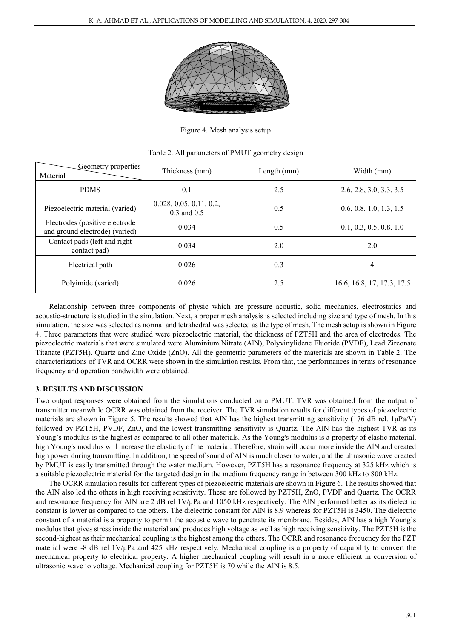

Figure 4. Mesh analysis setup

| Geometry properties<br>Material                                  | Thickness (mm)                             | Length $(mm)$ | Width (mm)                 |
|------------------------------------------------------------------|--------------------------------------------|---------------|----------------------------|
| <b>PDMS</b>                                                      | 0.1                                        | 2.5           | 2.6, 2.8, 3.0, 3.3, 3.5    |
| Piezoelectric material (varied)                                  | 0.028, 0.05, 0.11, 0.2,<br>$0.3$ and $0.5$ | 0.5           | 0.6, 0.8, 1.0, 1.3, 1.5    |
| Electrodes (positive electrode<br>and ground electrode) (varied) | 0.034                                      | 0.5           | 0.1, 0.3, 0.5, 0.8, 1.0    |
| Contact pads (left and right<br>contact pad)                     | 0.034                                      | 2.0           | 2.0                        |
| Electrical path                                                  | 0.026                                      | 0.3           | 4                          |
| Polyimide (varied)                                               | 0.026                                      | 2.5           | 16.6, 16.8, 17, 17.3, 17.5 |

Table 2. All parameters of PMUT geometry design

Relationship between three components of physic which are pressure acoustic, solid mechanics, electrostatics and acoustic-structure is studied in the simulation. Next, a proper mesh analysis is selected including size and type of mesh. In this simulation, the size was selected as normal and tetrahedral was selected as the type of mesh. The mesh setup is shown in Figure 4. Three parameters that were studied were piezoelectric material, the thickness of PZT5H and the area of electrodes. The piezoelectric materials that were simulated were Aluminium Nitrate (AlN), Polyvinylidene Fluoride (PVDF), Lead Zirconate Titanate (PZT5H), Quartz and Zinc Oxide (ZnO). All the geometric parameters of the materials are shown in Table 2. The characterizations of TVR and OCRR were shown in the simulation results. From that, the performances in terms of resonance frequency and operation bandwidth were obtained.

# **3. RESULTS AND DISCUSSION**

Two output responses were obtained from the simulations conducted on a PMUT. TVR was obtained from the output of transmitter meanwhile OCRR was obtained from the receiver. The TVR simulation results for different types of piezoelectric materials are shown in Figure 5. The results showed that AlN has the highest transmitting sensitivity (176 dB rel.  $1\mu\text{Pa/V}$ ) followed by PZT5H, PVDF, ZnO, and the lowest transmitting sensitivity is Quartz. The AlN has the highest TVR as its Young's modulus is the highest as compared to all other materials. As the Young's modulus is a property of elastic material, high Young's modulus will increase the elasticity of the material. Therefore, strain will occur more inside the AlN and created high power during transmitting. In addition, the speed of sound of AlN is much closer to water, and the ultrasonic wave created by PMUT is easily transmitted through the water medium. However, PZT5H has a resonance frequency at 325 kHz which is a suitable piezoelectric material for the targeted design in the medium frequency range in between 300 kHz to 800 kHz.

The OCRR simulation results for different types of piezoelectric materials are shown in Figure 6. The results showed that the AlN also led the others in high receiving sensitivity. These are followed by PZT5H, ZnO, PVDF and Quartz. The OCRR and resonance frequency for AlN are 2 dB rel 1V/μPa and 1050 kHz respectively. The AlN performed better as its dielectric constant is lower as compared to the others. The dielectric constant for AlN is 8.9 whereas for PZT5H is 3450. The dielectric constant of a material is a property to permit the acoustic wave to penetrate its membrane. Besides, AlN has a high Young's modulus that gives stress inside the material and produces high voltage as well as high receiving sensitivity. The PZT5H is the second-highest as their mechanical coupling is the highest among the others. The OCRR and resonance frequency for the PZT material were -8 dB rel 1V/μPa and 425 kHz respectively. Mechanical coupling is a property of capability to convert the mechanical property to electrical property. A higher mechanical coupling will result in a more efficient in conversion of ultrasonic wave to voltage. Mechanical coupling for PZT5H is 70 while the AlN is 8.5.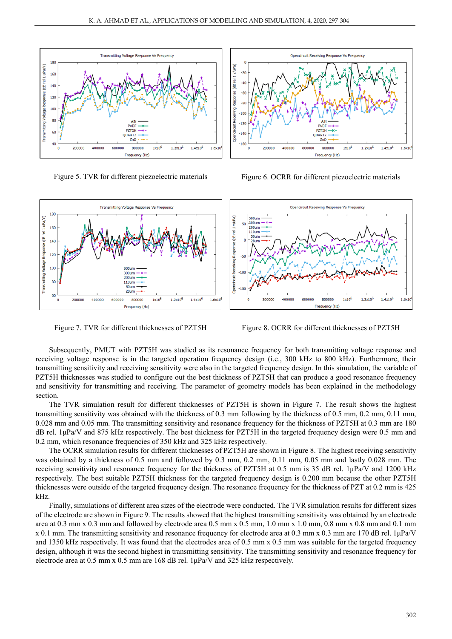



Figure 5. TVR for different piezoelectric materials Figure 6. OCRR for different piezoelectric materials



Figure 7. TVR for different thicknesses of PZT5H Figure 8. OCRR for different thicknesses of PZT5H

Subsequently, PMUT with PZT5H was studied as its resonance frequency for both transmitting voltage response and receiving voltage response is in the targeted operation frequency design (i.e., 300 kHz to 800 kHz). Furthermore, their transmitting sensitivity and receiving sensitivity were also in the targeted frequency design. In this simulation, the variable of PZT5H thicknesses was studied to configure out the best thickness of PZT5H that can produce a good resonance frequency and sensitivity for transmitting and receiving. The parameter of geometry models has been explained in the methodology section.

The TVR simulation result for different thicknesses of PZT5H is shown in Figure 7. The result shows the highest transmitting sensitivity was obtained with the thickness of 0.3 mm following by the thickness of 0.5 mm, 0.2 mm, 0.11 mm, 0.028 mm and 0.05 mm. The transmitting sensitivity and resonance frequency for the thickness of PZT5H at 0.3 mm are 180 dB rel. 1μPa/V and 875 kHz respectively. The best thickness for PZT5H in the targeted frequency design were 0.5 mm and 0.2 mm, which resonance frequencies of 350 kHz and 325 kHz respectively.

The OCRR simulation results for different thicknesses of PZT5H are shown in Figure 8. The highest receiving sensitivity was obtained by a thickness of 0.5 mm and followed by 0.3 mm, 0.2 mm, 0.11 mm, 0.05 mm and lastly 0.028 mm. The receiving sensitivity and resonance frequency for the thickness of PZT5H at 0.5 mm is 35 dB rel. 1μPa/V and 1200 kHz respectively. The best suitable PZT5H thickness for the targeted frequency design is 0.200 mm because the other PZT5H thicknesses were outside of the targeted frequency design. The resonance frequency for the thickness of PZT at 0.2 mm is 425 kHz.

Finally, simulations of different area sizes of the electrode were conducted. The TVR simulation results for different sizes of the electrode are shown in Figure 9. The results showed that the highest transmitting sensitivity was obtained by an electrode area at 0.3 mm x 0.3 mm and followed by electrode area 0.5 mm x 0.5 mm, 1.0 mm x 1.0 mm, 0.8 mm x 0.8 mm and 0.1 mm x 0.1 mm. The transmitting sensitivity and resonance frequency for electrode area at 0.3 mm x 0.3 mm are 170 dB rel. 1μPa/V and 1350 kHz respectively. It was found that the electrodes area of 0.5 mm x 0.5 mm was suitable for the targeted frequency design, although it was the second highest in transmitting sensitivity. The transmitting sensitivity and resonance frequency for electrode area at 0.5 mm x 0.5 mm are 168 dB rel. 1μPa/V and 325 kHz respectively.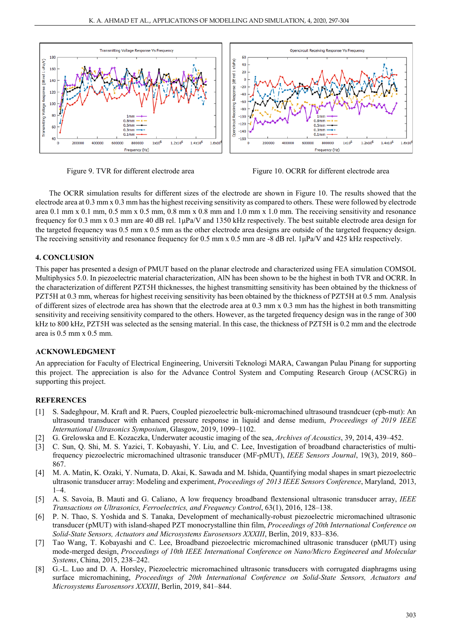

Figure 9. TVR for different electrode area Figure 10. OCRR for different electrode area

The OCRR simulation results for different sizes of the electrode are shown in Figure 10. The results showed that the electrode area at 0.3 mm x 0.3 mm has the highest receiving sensitivity as compared to others. These were followed by electrode area 0.1 mm x 0.1 mm, 0.5 mm x 0.5 mm, 0.8 mm x 0.8 mm and 1.0 mm x 1.0 mm. The receiving sensitivity and resonance frequency for 0.3 mm x 0.3 mm are 40 dB rel. 1μPa/V and 1350 kHz respectively. The best suitable electrode area design for the targeted frequency was 0.5 mm x 0.5 mm as the other electrode area designs are outside of the targeted frequency design. The receiving sensitivity and resonance frequency for 0.5 mm x 0.5 mm are -8 dB rel. 1uPa/V and 425 kHz respectively.

#### **4. CONCLUSION**

This paper has presented a design of PMUT based on the planar electrode and characterized using FEA simulation COMSOL Multiphysics 5.0. In piezoelectric material characterization, AlN has been shown to be the highest in both TVR and OCRR. In the characterization of different PZT5H thicknesses, the highest transmitting sensitivity has been obtained by the thickness of PZT5H at 0.3 mm, whereas for highest receiving sensitivity has been obtained by the thickness of PZT5H at 0.5 mm. Analysis of different sizes of electrode area has shown that the electrode area at 0.3 mm x 0.3 mm has the highest in both transmitting sensitivity and receiving sensitivity compared to the others. However, as the targeted frequency design was in the range of 300 kHz to 800 kHz, PZT5H was selected as the sensing material. In this case, the thickness of PZT5H is 0.2 mm and the electrode area is 0.5 mm x 0.5 mm.

#### **ACKNOWLEDGMENT**

An appreciation for Faculty of Electrical Engineering, Universiti Teknologi MARA, Cawangan Pulau Pinang for supporting this project. The appreciation is also for the Advance Control System and Computing Research Group (ACSCRG) in supporting this project.

# **REFERENCES**

- [1] S. Sadeghpour, M. Kraft and R. Puers, Coupled piezoelectric bulk-micromachined ultrasound trasndcuer (cpb-mut): An ultrasound transducer with enhanced pressure response in liquid and dense medium, *Proceedings of 2019 IEEE International Ultrasonics Symposium*, Glasgow, 2019, 1099–1102.
- [2] G. Grelowska and E. Kozaczka, Underwater acoustic imaging of the sea, *Archives of Acoustics*, 39, 2014, 439–452.
- [3] C. Sun, Q. Shi, M. S. Yazici, T. Kobayashi, Y. Liu, and C. Lee, Investigation of broadband characteristics of multifrequency piezoelectric micromachined ultrasonic transducer (MF-pMUT), *IEEE Sensors Journal*, 19(3), 2019, 860– 867.
- [4] M. A. Matin, K. Ozaki, Y. Numata, D. Akai, K. Sawada and M. Ishida, Quantifying modal shapes in smart piezoelectric ultrasonic transducer array: Modeling and experiment, *Proceedings of 2013 IEEE Sensors Conference*, Maryland, 2013,  $1-4.$
- [5] A. S. Savoia, B. Mauti and G. Caliano, A low frequency broadband flextensional ultrasonic transducer array, *IEEE Transactions on Ultrasonics, Ferroelectrics, and Frequency Control*, 63(1), 2016, 128–138.
- [6] P. N. Thao, S. Yoshida and S. Tanaka, Development of mechanically-robust piezoelectric micromachined ultrasonic transducer (pMUT) with island-shaped PZT monocrystalline thin film, *Proceedings of 20th International Conference on Solid-State Sensors, Actuators and Microsystems Eurosensors XXXIII*, Berlin, 2019, 833–836.
- [7] Tao Wang, T. Kobayashi and C. Lee, Broadband piezoelectric micromachined ultrasonic transducer (pMUT) using mode-merged design, *Proceedings of 10th IEEE International Conference on Nano/Micro Engineered and Molecular Systems*, China, 2015, 238–242.
- [8] G.-L. Luo and D. A. Horsley, Piezoelectric micromachined ultrasonic transducers with corrugated diaphragms using surface micromachining, *Proceedings of 20th International Conference on Solid-State Sensors, Actuators and Microsystems Eurosensors XXXIII*, Berlin, 2019, 841–844.